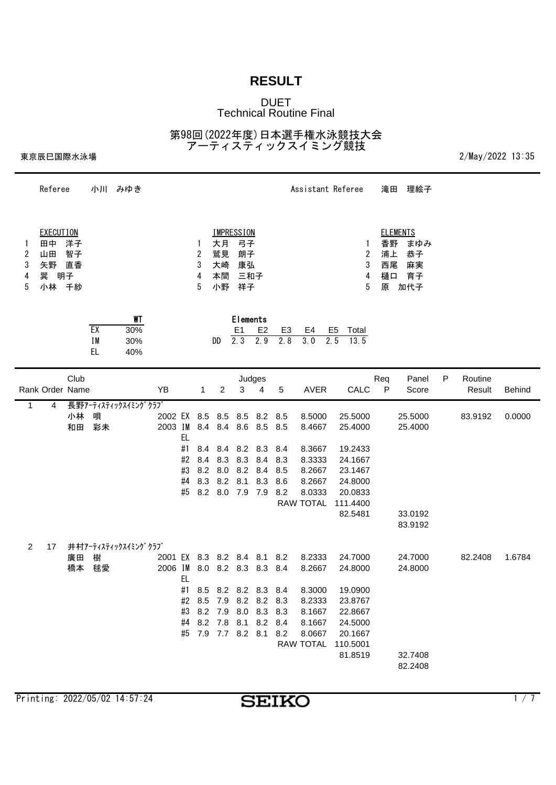### DUET Technical Routine Final

第98回(2022年度)日本選手権水泳競技大会 アーティスティックスイミング競技

|                     |                   |                                                        |                         |        |                                            |                       |                |                                         |                       |                                                                                                   |                                                                                                                                                                                                                                                                                                              |                  |                                                                                                                                                | 理絵子                                                                                                                              |                                               |                   |               |
|---------------------|-------------------|--------------------------------------------------------|-------------------------|--------|--------------------------------------------|-----------------------|----------------|-----------------------------------------|-----------------------|---------------------------------------------------------------------------------------------------|--------------------------------------------------------------------------------------------------------------------------------------------------------------------------------------------------------------------------------------------------------------------------------------------------------------|------------------|------------------------------------------------------------------------------------------------------------------------------------------------|----------------------------------------------------------------------------------------------------------------------------------|-----------------------------------------------|-------------------|---------------|
| 田中<br>山田<br>矢野<br>巽 | 智子                |                                                        |                         |        |                                            | 1<br>2<br>3<br>4<br>5 |                |                                         |                       |                                                                                                   |                                                                                                                                                                                                                                                                                                              |                  | 原                                                                                                                                              | まゆみ<br>恭子<br>麻実<br>育子<br>加代子                                                                                                     |                                               |                   |               |
|                     |                   | EX<br>IM<br>EL.                                        | WT<br>30%<br>30%<br>40% |        |                                            |                       |                | E <sub>1</sub>                          | E <sub>2</sub><br>2.9 | E <sub>3</sub><br>2.8                                                                             | E4<br>3.0                                                                                                                                                                                                                                                                                                    | Total<br>13.5    |                                                                                                                                                |                                                                                                                                  |                                               |                   |               |
|                     | Club              |                                                        |                         | YB     |                                            | $\mathbf{1}$          | $\overline{2}$ | 3                                       | 4                     | 5                                                                                                 | <b>AVER</b>                                                                                                                                                                                                                                                                                                  |                  | Req<br>$\mathsf{P}$                                                                                                                            | Panel<br>Score                                                                                                                   | P                                             | Routine<br>Result | <b>Behind</b> |
| 4                   | 小林<br>和田          | 唄<br>彩未                                                |                         |        | EL<br>#1<br>#2<br>#3<br>#4<br>#5           | 8.4                   |                |                                         |                       | 8.5<br>8.2                                                                                        | 8.5000<br>8.4667<br>8.3667<br>8.3333<br>8.2667<br>8.2667<br>8.0333                                                                                                                                                                                                                                           | 82.5481          |                                                                                                                                                | 25.5000<br>25.4000<br>33.0192<br>83.9192                                                                                         |                                               | 83.9192           | 0.0000        |
| 17                  | 廣田<br>橋本          | 樹<br>毬愛                                                |                         |        | EL<br>#2<br>#3                             |                       |                |                                         |                       |                                                                                                   | 8.2333<br>8.2667<br>8.3000<br>8.2333<br>8.1667<br>8.1667<br>8.0667                                                                                                                                                                                                                                           |                  |                                                                                                                                                | 24.7000<br>24.8000<br>32.7408<br>82.2408                                                                                         |                                               | 82.2408           | 1.6784        |
|                     | $\mathbf{1}$<br>2 | Referee<br><b>EXECUTION</b><br>洋子<br>直香<br>明子<br>小林 千紗 | Rank Order Name         | 小川 みゆき | 長野アーティスティックスイミングクラブ<br>井村アーティスティックスイミングクラブ | 2003 IM<br>2006 IM    |                | 大月<br>鷲見<br>大崎<br>本間<br>小野<br>DD<br>8.3 | $\overline{2.3}$      | <b>IMPRESSION</b><br>弓子<br>朗子<br>康弘<br>三和子<br>祥子<br>Elements<br>Judges<br>2002 EX 8.5 8.5 8.5 8.2 | 8.4 8.4 8.6 8.5 8.5<br>8.4 8.4 8.2 8.3 8.4<br>8.3 8.3 8.4 8.3<br>8.2 8.0 8.2 8.4 8.5<br>8.2 8.1 8.3 8.6<br>8.2 8.0 7.9 7.9<br>2001 EX 8.3 8.2 8.4 8.1 8.2<br>8.0 8.2 8.3 8.3 8.4<br>#1 8.5 8.2 8.2 8.3 8.4<br>8.5 7.9 8.2 8.2 8.3<br>8.2 7.9 8.0 8.3 8.3<br>#4 8.2 7.8 8.1 8.2 8.4<br>#5 7.9 7.7 8.2 8.1 8.2 | <b>RAW TOTAL</b> | Assistant Referee<br>E <sub>5</sub><br>2.5<br>23.1467<br>111.4400<br>19.0900<br>23.8767<br>22.8667<br>20.1667<br>RAW TOTAL 110.5001<br>81.8519 | 1<br>2<br>3<br>4<br>5<br>CALC<br>25.5000<br>25.4000<br>19.2433<br>24.1667<br>24.8000<br>20.0833<br>24.7000<br>24.8000<br>24.5000 | 滝田<br><b>ELEMENTS</b><br>香野<br>浦上<br>西尾<br>樋口 |                   |               |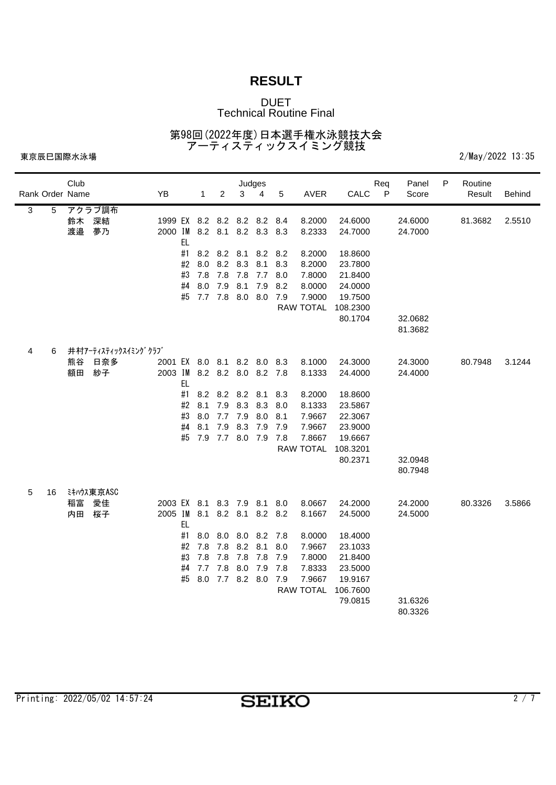### DUET Technical Routine Final

第98回(2022年度)日本選手権水泳競技大会 アーティスティックスイミング競技

|   |                 | Club |                     |                             |     |         |                     | Judges      |         |     |                  |          | Req | Panel   | P | Routine |               |
|---|-----------------|------|---------------------|-----------------------------|-----|---------|---------------------|-------------|---------|-----|------------------|----------|-----|---------|---|---------|---------------|
|   | Rank Order Name |      |                     | YB                          |     | 1       | $\overline{c}$      | 3           | 4       | 5   | AVER             | CALC     | P   | Score   |   | Result  | <b>Behind</b> |
| 3 | 5               |      | アクラブ調布              |                             |     |         |                     |             |         |     |                  |          |     |         |   |         |               |
|   |                 | 鈴木   | 深結                  | 1999 EX 8.2 8.2 8.2 8.2     |     |         |                     |             |         | 8.4 | 8.2000           | 24.6000  |     | 24.6000 |   | 81.3682 | 2.5510        |
|   |                 | 渡邉   | 夢乃                  | 2000 IM 8.2 8.1 8.2 8.3     | EL  |         |                     |             |         | 8.3 | 8.2333           | 24.7000  |     | 24.7000 |   |         |               |
|   |                 |      |                     |                             | #1  | 8.2     | 8.2 8.1             |             | 8.2     | 8.2 | 8.2000           | 18.8600  |     |         |   |         |               |
|   |                 |      |                     |                             | #2  | 8.0     | 8.2 8.3             |             | 8.1     | 8.3 | 8.2000           | 23.7800  |     |         |   |         |               |
|   |                 |      |                     |                             | #3  | 7.8     | 7.8                 | 7.8         | 7.7     | 8.0 | 7.8000           | 21.8400  |     |         |   |         |               |
|   |                 |      |                     |                             | #4  | 8.0     | 7.9                 | 8.1         | 7.9     | 8.2 | 8.0000           | 24.0000  |     |         |   |         |               |
|   |                 |      |                     |                             | #5  | 7.7 7.8 |                     | 8.0 8.0     |         | 7.9 | 7.9000           | 19.7500  |     |         |   |         |               |
|   |                 |      |                     |                             |     |         |                     |             |         |     | <b>RAW TOTAL</b> | 108.2300 |     |         |   |         |               |
|   |                 |      |                     |                             |     |         |                     |             |         |     |                  | 80.1704  |     | 32.0682 |   |         |               |
|   |                 |      |                     |                             |     |         |                     |             |         |     |                  |          |     | 81.3682 |   |         |               |
| 4 | 6               |      | 井村アーティスティックスイミングクラブ |                             |     |         |                     |             |         |     |                  |          |     |         |   |         |               |
|   |                 | 熊谷   | 日奈多                 | 2001 EX 8.0 8.1 8.2 8.0 8.3 |     |         |                     |             |         |     | 8.1000           | 24.3000  |     | 24.3000 |   | 80.7948 | 3.1244        |
|   |                 | 額田   | 紗子                  | 2003 IM                     |     |         | 8.2 8.2 8.0 8.2 7.8 |             |         |     | 8.1333           | 24.4000  |     | 24.4000 |   |         |               |
|   |                 |      |                     |                             | EL  |         |                     |             |         |     |                  |          |     |         |   |         |               |
|   |                 |      |                     |                             | #1  | 8.2     |                     | 8.2 8.2 8.1 |         | 8.3 | 8.2000           | 18.8600  |     |         |   |         |               |
|   |                 |      |                     |                             | #2  | 8.1     | 7.9                 | 8.3         | 8.3     | 8.0 | 8.1333           | 23.5867  |     |         |   |         |               |
|   |                 |      |                     |                             | #3  | 8.0     | 7.7                 | 7.9         | 8.0     | 8.1 | 7.9667           | 22.3067  |     |         |   |         |               |
|   |                 |      |                     |                             | #4  | 8.1     | 7.9                 | 8.3         | 7.9     | 7.9 | 7.9667           | 23.9000  |     |         |   |         |               |
|   |                 |      |                     |                             | #5  | 7.9     | 7.7 8.0             |             | 7.9     | 7.8 | 7.8667           | 19.6667  |     |         |   |         |               |
|   |                 |      |                     |                             |     |         |                     |             |         |     | <b>RAW TOTAL</b> | 108.3201 |     |         |   |         |               |
|   |                 |      |                     |                             |     |         |                     |             |         |     |                  | 80.2371  |     | 32.0948 |   |         |               |
|   |                 |      |                     |                             |     |         |                     |             |         |     |                  |          |     | 80.7948 |   |         |               |
| 5 | 16              |      | ミキハウス東京ASC          |                             |     |         |                     |             |         |     |                  |          |     |         |   |         |               |
|   |                 | 稲富   | 愛佳                  | 2003 EX 8.1 8.3 7.9 8.1 8.0 |     |         |                     |             |         |     | 8.0667           | 24.2000  |     | 24.2000 |   | 80.3326 | 3.5866        |
|   |                 | 内田   | 桜子                  | 2005 IM                     | EL. | 8.1     | 8.2 8.1             |             | 8.2     | 8.2 | 8.1667           | 24.5000  |     | 24.5000 |   |         |               |
|   |                 |      |                     |                             | #1  | 8.0     | 8.0 8.0             |             | 8.2 7.8 |     | 8.0000           | 18.4000  |     |         |   |         |               |
|   |                 |      |                     |                             | #2  | 7.8     | 7.8                 | 8.2         | 8.1     | 8.0 | 7.9667           | 23.1033  |     |         |   |         |               |
|   |                 |      |                     |                             | #3  | 7.8     | 7.8                 | 7.8         | 7.8     | 7.9 | 7.8000           | 21.8400  |     |         |   |         |               |
|   |                 |      |                     |                             | #4  | 7.7     | 7.8                 | 8.0         | 7.9     | 7.8 | 7.8333           | 23.5000  |     |         |   |         |               |
|   |                 |      |                     |                             | #5  | 8.0     | 7.7 8.2 8.0         |             |         | 7.9 | 7.9667           | 19.9167  |     |         |   |         |               |
|   |                 |      |                     |                             |     |         |                     |             |         |     | <b>RAW TOTAL</b> | 106.7600 |     |         |   |         |               |
|   |                 |      |                     |                             |     |         |                     |             |         |     |                  | 79.0815  |     | 31.6326 |   |         |               |
|   |                 |      |                     |                             |     |         |                     |             |         |     |                  |          |     | 80.3326 |   |         |               |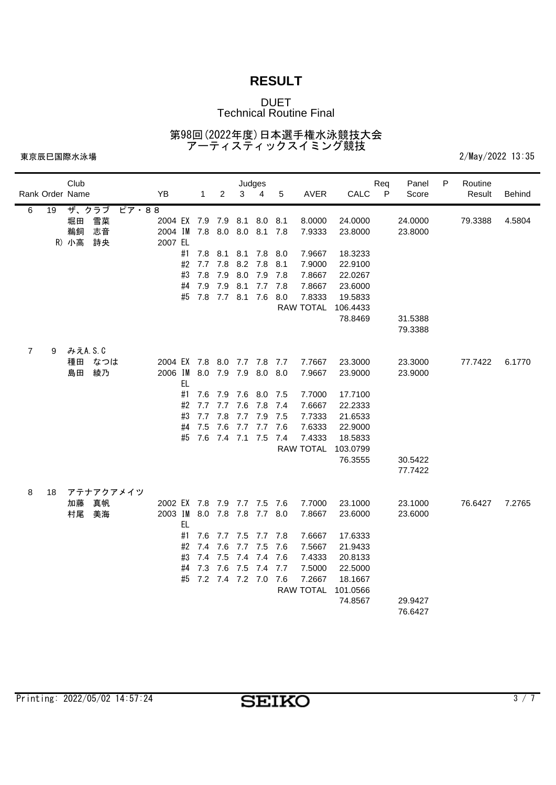### DUET Technical Routine Final

第98回(2022年度)日本選手権水泳競技大会 アーティスティックスイミング競技

|                |                 | Club     |                             |                             |           |            |                     | Judges          |         |            |                  |                    | Req | Panel   | P | Routine |               |
|----------------|-----------------|----------|-----------------------------|-----------------------------|-----------|------------|---------------------|-----------------|---------|------------|------------------|--------------------|-----|---------|---|---------|---------------|
|                | Rank Order Name |          |                             | YB                          |           | 1          | $\overline{2}$      | 3               | 4       | 5          | <b>AVER</b>      | CALC               | P   | Score   |   | Result  | <b>Behind</b> |
| 6              | 19              | ザ、クラブ    | $L^2 \overline{7} \cdot 88$ |                             |           |            |                     |                 |         |            |                  |                    |     |         |   |         |               |
|                |                 | 堀田       | 雪菜                          | 2004 EX 7.9 7.9             |           |            |                     | 8.1             | 8.0     | 8.1        | 8.0000           | 24.0000            |     | 24.0000 |   | 79.3388 | 4.5804        |
|                |                 | 鵜飼       | 志音                          | 2004 IM 7.8 8.0 8.0         |           |            |                     |                 | 8.1 7.8 |            | 7.9333           | 23.8000            |     | 23.8000 |   |         |               |
|                |                 | R) 小高    | 詩央                          | 2007 EL                     |           |            |                     |                 |         |            |                  |                    |     |         |   |         |               |
|                |                 |          |                             |                             | #1<br>#2  | 7.8        | 8.1<br>7.8          | 8.1<br>8.2 7.8  | 7.8     | 8.0        | 7.9667           | 18.3233            |     |         |   |         |               |
|                |                 |          |                             |                             | #3        | 7.7<br>7.8 | 7.9                 | 8.0             | 7.9     | 8.1<br>7.8 | 7.9000<br>7.8667 | 22.9100<br>22.0267 |     |         |   |         |               |
|                |                 |          |                             |                             | #4        | 7.9        | 7.9                 | 8.1             | 7.7     | 7.8        | 7.8667           | 23.6000            |     |         |   |         |               |
|                |                 |          |                             |                             | #5        | 7.8        | $7.7$ 8.1           |                 | 7.6     | 8.0        | 7.8333           | 19.5833            |     |         |   |         |               |
|                |                 |          |                             |                             |           |            |                     |                 |         |            | RAW TOTAL        | 106.4433           |     |         |   |         |               |
|                |                 |          |                             |                             |           |            |                     |                 |         |            |                  | 78.8469            |     | 31.5388 |   |         |               |
|                |                 |          |                             |                             |           |            |                     |                 |         |            |                  |                    |     | 79.3388 |   |         |               |
|                |                 |          |                             |                             |           |            |                     |                 |         |            |                  |                    |     |         |   |         |               |
| $\overline{7}$ | 9               | みえA.S.C  |                             |                             |           |            |                     |                 |         |            |                  |                    |     |         |   |         |               |
|                |                 | 種田       | なつは                         | 2004 EX 7.8                 |           |            |                     | 8.0 7.7 7.8 7.7 |         |            | 7.7667           | 23.3000            |     | 23.3000 |   | 77.7422 | 6.1770        |
|                |                 | 島田       | 綾乃                          | 2006 IM                     |           |            | 8.0 7.9 7.9         |                 | 8.0     | 8.0        | 7.9667           | 23.9000            |     | 23.9000 |   |         |               |
|                |                 |          |                             |                             | <b>EL</b> |            |                     |                 |         |            |                  |                    |     |         |   |         |               |
|                |                 |          |                             |                             | #1        | 7.6        | 7.9                 | 7.6             | 8.0 7.5 |            | 7.7000           | 17.7100            |     |         |   |         |               |
|                |                 |          |                             |                             | #2        | 7.7        | 7.7                 | 7.6             | 7.8 7.4 |            | 7.6667           | 22.2333            |     |         |   |         |               |
|                |                 |          |                             |                             | #3        | 7.7        | 7.8                 | 7.7             | 7.9     | - 7.5      | 7.7333           | 21.6533            |     |         |   |         |               |
|                |                 |          |                             |                             | #4        | 7.5        | 7.6                 | 7.7             | 7.7     | 7.6        | 7.6333           | 22.9000            |     |         |   |         |               |
|                |                 |          |                             |                             | #5        | 7.6        | $7.4$ $7.1$         |                 | 7.5     | 7.4        | 7.4333           | 18.5833            |     |         |   |         |               |
|                |                 |          |                             |                             |           |            |                     |                 |         |            | <b>RAW TOTAL</b> | 103.0799           |     |         |   |         |               |
|                |                 |          |                             |                             |           |            |                     |                 |         |            |                  | 76.3555            |     | 30.5422 |   |         |               |
|                |                 |          |                             |                             |           |            |                     |                 |         |            |                  |                    |     | 77.7422 |   |         |               |
|                |                 |          |                             |                             |           |            |                     |                 |         |            |                  |                    |     |         |   |         |               |
| 8              | 18              |          | アテナアクアメイツ<br>真帆             | 2002 EX 7.8 7.9 7.7 7.5 7.6 |           |            |                     |                 |         |            | 7.7000           | 23.1000            |     | 23.1000 |   |         |               |
|                |                 | 加藤<br>村尾 | 美海                          | 2003 IM 8.0                 |           |            | 7.8 7.8             |                 | 7.7 8.0 |            | 7.8667           | 23.6000            |     |         |   | 76.6427 | 7.2765        |
|                |                 |          |                             |                             | EL.       |            |                     |                 |         |            |                  |                    |     | 23.6000 |   |         |               |
|                |                 |          |                             |                             | #1        | 7.6        | 7.7 7.5 7.7 7.8     |                 |         |            | 7.6667           | 17.6333            |     |         |   |         |               |
|                |                 |          |                             |                             | #2        | 7.4        | 7.6                 | 7.7             | 7.5     | 7.6        | 7.5667           | 21.9433            |     |         |   |         |               |
|                |                 |          |                             |                             | #3        | 7.4        | 7.5                 | 7.4             | 7.4     | 7.6        | 7.4333           | 20.8133            |     |         |   |         |               |
|                |                 |          |                             |                             | #4        | 7.3        | 7.6                 | 7.5             | 7.4     | 7.7        | 7.5000           | 22.5000            |     |         |   |         |               |
|                |                 |          |                             |                             | #5        |            | 7.2 7.4 7.2 7.0 7.6 |                 |         |            | 7.2667           | 18.1667            |     |         |   |         |               |
|                |                 |          |                             |                             |           |            |                     |                 |         |            | <b>RAW TOTAL</b> | 101.0566           |     |         |   |         |               |
|                |                 |          |                             |                             |           |            |                     |                 |         |            |                  | 74.8567            |     | 29.9427 |   |         |               |
|                |                 |          |                             |                             |           |            |                     |                 |         |            |                  |                    |     | 76.6427 |   |         |               |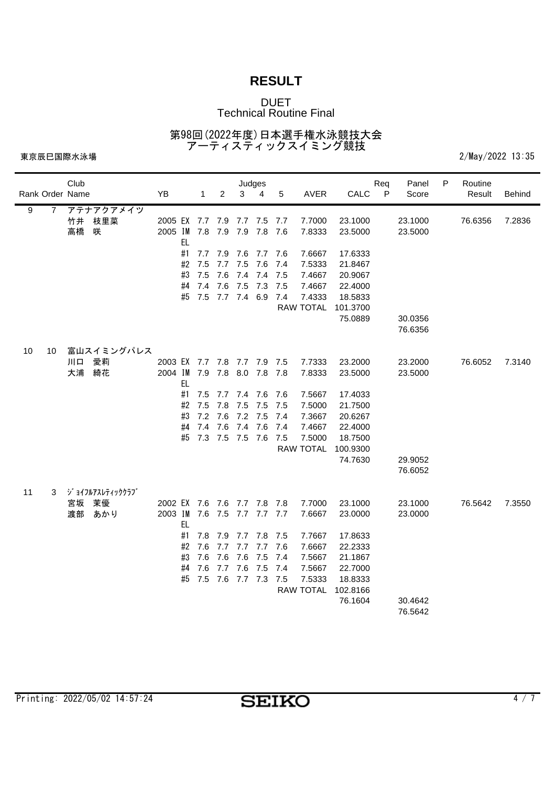### DUET Technical Routine Final

第98回(2022年度)日本選手権水泳競技大会 アーティスティックスイミング競技

|    |                 | Club |                 |                             |           |                 |                 |             | Judges      |      |                  |          | Req          | Panel   | P | Routine |        |
|----|-----------------|------|-----------------|-----------------------------|-----------|-----------------|-----------------|-------------|-------------|------|------------------|----------|--------------|---------|---|---------|--------|
|    | Rank Order Name |      |                 | YB                          |           | $\mathbf{1}$    | $\overline{2}$  | 3           | 4           | 5    | AVER             | CALC     | $\mathsf{P}$ | Score   |   | Result  | Behind |
| 9  | 7               |      | アテナアクアメイツ       |                             |           |                 |                 |             |             |      |                  |          |              |         |   |         |        |
|    |                 | 竹井   | 枝里菜             | 2005 EX 7.7                 |           |                 | 7.9             | 7.7         | 7.5         | 7.7  | 7.7000           | 23.1000  |              | 23.1000 |   | 76.6356 | 7.2836 |
|    |                 | 高橋   | 咲               | 2005 IM 7.8 7.9             |           |                 |                 | 7.9         | 7.8 7.6     |      | 7.8333           | 23.5000  |              | 23.5000 |   |         |        |
|    |                 |      |                 |                             | <b>EL</b> |                 |                 |             |             |      |                  |          |              |         |   |         |        |
|    |                 |      |                 |                             | #1        | 7.7             | 7.9             | 7.6         | 7.7 7.6     |      | 7.6667           | 17.6333  |              |         |   |         |        |
|    |                 |      |                 |                             | #2        | 7.5             | 7.7             | 7.5         | 7.6         | 7.4  | 7.5333           | 21.8467  |              |         |   |         |        |
|    |                 |      |                 |                             | #3        | 7.5             | 7.6             | 7.4         | 7.4         | 7.5  | 7.4667           | 20.9067  |              |         |   |         |        |
|    |                 |      |                 |                             | #4        | 7.4             | 7.6             | 7.5         | 7.3         | 7.5  | 7.4667           | 22.4000  |              |         |   |         |        |
|    |                 |      |                 |                             | #5        | 7.5 7.7 7.4 6.9 |                 |             |             | 7.4  | 7.4333           | 18.5833  |              |         |   |         |        |
|    |                 |      |                 |                             |           |                 |                 |             |             |      | <b>RAW TOTAL</b> | 101.3700 |              |         |   |         |        |
|    |                 |      |                 |                             |           |                 |                 |             |             |      |                  | 75.0889  |              | 30.0356 |   |         |        |
|    |                 |      |                 |                             |           |                 |                 |             |             |      |                  |          |              | 76.6356 |   |         |        |
| 10 | 10              |      | 富山スイミングパレス      |                             |           |                 |                 |             |             |      |                  |          |              |         |   |         |        |
|    |                 | 川口   | 愛莉              | 2003 EX 7.7 7.8 7.7 7.9 7.5 |           |                 |                 |             |             |      | 7.7333           | 23.2000  |              | 23.2000 |   | 76.6052 | 7.3140 |
|    |                 | 大浦   | 綺花              | 2004 IM                     |           | 7.9 7.8         |                 |             | 8.0 7.8 7.8 |      | 7.8333           | 23.5000  |              | 23.5000 |   |         |        |
|    |                 |      |                 |                             | <b>EL</b> |                 |                 |             |             |      |                  |          |              |         |   |         |        |
|    |                 |      |                 |                             | #1        | 7.5             | 7.7             | 7.4         | 7.6 7.6     |      | 7.5667           | 17.4033  |              |         |   |         |        |
|    |                 |      |                 |                             | #2        | 7.5             | 7.8             | 7.5         | 7.5         | 7.5  | 7.5000           | 21.7500  |              |         |   |         |        |
|    |                 |      |                 |                             | #3        | 7.2             |                 | 7.6 7.2 7.5 |             | -7.4 | 7.3667           | 20.6267  |              |         |   |         |        |
|    |                 |      |                 |                             | #4        | 7.4             | 7.6             | 7.4         | 7.6         | 7.4  | 7.4667           | 22.4000  |              |         |   |         |        |
|    |                 |      |                 |                             | #5        |                 | 7.3 7.5 7.5     |             | 7.6 7.5     |      | 7.5000           | 18.7500  |              |         |   |         |        |
|    |                 |      |                 |                             |           |                 |                 |             |             |      | <b>RAW TOTAL</b> | 100.9300 |              |         |   |         |        |
|    |                 |      |                 |                             |           |                 |                 |             |             |      |                  | 74.7630  |              | 29.9052 |   |         |        |
|    |                 |      |                 |                             |           |                 |                 |             |             |      |                  |          |              | 76.6052 |   |         |        |
|    |                 |      |                 |                             |           |                 |                 |             |             |      |                  |          |              |         |   |         |        |
| 11 | 3               |      | ジョイフルアスレティッククラブ |                             |           |                 |                 |             |             |      |                  |          |              |         |   |         |        |
|    |                 | 宮坂   | 茉優              | 2002 EX 7.6 7.6 7.7 7.8 7.8 |           |                 |                 |             |             |      | 7.7000           | 23.1000  |              | 23.1000 |   | 76.5642 | 7.3550 |
|    |                 | 渡部   | あかり             | 2003 IM 7.6                 | <b>EL</b> |                 | 7.5             |             | 7.7 7.7 7.7 |      | 7.6667           | 23.0000  |              | 23.0000 |   |         |        |
|    |                 |      |                 |                             | #1        | 7.8             | 7.9             |             | 7.7 7.8 7.5 |      | 7.7667           | 17.8633  |              |         |   |         |        |
|    |                 |      |                 |                             | #2        | 7.6             | 7.7             | 7.7         | 7.7         | 7.6  | 7.6667           | 22.2333  |              |         |   |         |        |
|    |                 |      |                 |                             | #3        | 7.6             | 7.6             | 7.6         | 7.5         | 7.4  | 7.5667           | 21.1867  |              |         |   |         |        |
|    |                 |      |                 |                             | #4        | 7.6             | 7.7 7.6         |             | 7.5         | 7.4  | 7.5667           | 22.7000  |              |         |   |         |        |
|    |                 |      |                 |                             | #5        |                 | 7.5 7.6 7.7 7.3 |             |             | 7.5  | 7.5333           | 18.8333  |              |         |   |         |        |
|    |                 |      |                 |                             |           |                 |                 |             |             |      | <b>RAW TOTAL</b> | 102.8166 |              |         |   |         |        |
|    |                 |      |                 |                             |           |                 |                 |             |             |      |                  | 76.1604  |              | 30.4642 |   |         |        |
|    |                 |      |                 |                             |           |                 |                 |             |             |      |                  |          |              | 76.5642 |   |         |        |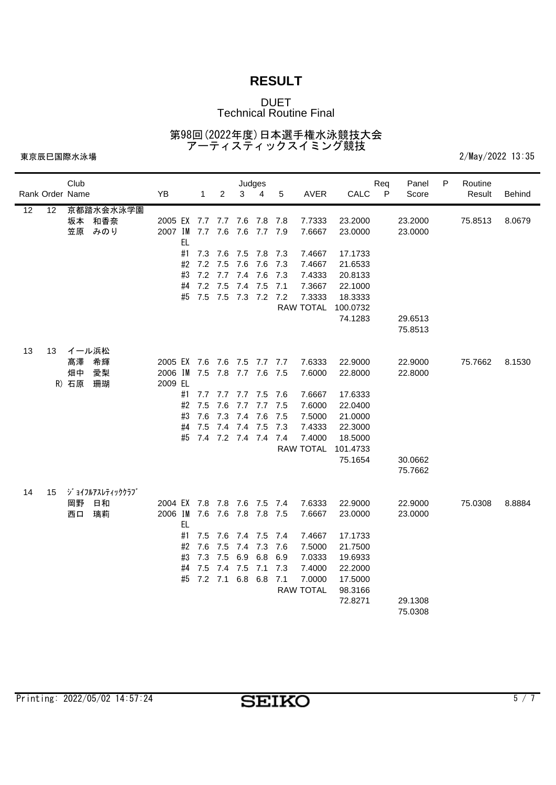### DUET Technical Routine Final

第98回(2022年度)日本選手権水泳競技大会 アーティスティックスイミング競技

|                 |                 | Club  |                 |                             |           |              |                     |         | Judges      |      |                  |          | Req          | Panel   | P | Routine |               |
|-----------------|-----------------|-------|-----------------|-----------------------------|-----------|--------------|---------------------|---------|-------------|------|------------------|----------|--------------|---------|---|---------|---------------|
|                 | Rank Order Name |       |                 | YB                          |           | $\mathbf{1}$ | $\overline{2}$      | 3       | 4           | 5    | <b>AVER</b>      | CALC     | $\mathsf{P}$ | Score   |   | Result  | <b>Behind</b> |
| $\overline{12}$ | 12              |       | 京都踏水会水泳学園       |                             |           |              |                     |         |             |      |                  |          |              |         |   |         |               |
|                 |                 | 坂本    | 和香奈             | 2005 EX 7.7                 |           |              | 7.7                 | 7.6     | 7.8         | 7.8  | 7.7333           | 23.2000  |              | 23.2000 |   | 75.8513 | 8.0679        |
|                 |                 | 笠原    | みのり             | 2007 IM 7.7 7.6             |           |              |                     | 7.6     | 7.7 7.9     |      | 7.6667           | 23.0000  |              | 23.0000 |   |         |               |
|                 |                 |       |                 |                             | EL.       |              |                     |         |             |      |                  |          |              |         |   |         |               |
|                 |                 |       |                 |                             | #1        | 7.3          | 7.6                 |         | 7.5 7.8 7.3 |      | 7.4667           | 17.1733  |              |         |   |         |               |
|                 |                 |       |                 |                             | #2        | 7.2          | 7.5                 | 7.6     | 7.6         | 7.3  | 7.4667           | 21.6533  |              |         |   |         |               |
|                 |                 |       |                 |                             | #3        | 7.2          | 7.7                 | 7.4     | 7.6         | 7.3  | 7.4333           | 20.8133  |              |         |   |         |               |
|                 |                 |       |                 |                             | #4        | 7.2          | 7.5                 | 7.4     | 7.5         | 7.1  | 7.3667           | 22.1000  |              |         |   |         |               |
|                 |                 |       |                 |                             | #5        |              | 7.5 7.5 7.3 7.2 7.2 |         |             |      | 7.3333           | 18.3333  |              |         |   |         |               |
|                 |                 |       |                 |                             |           |              |                     |         |             |      | <b>RAW TOTAL</b> | 100.0732 |              |         |   |         |               |
|                 |                 |       |                 |                             |           |              |                     |         |             |      |                  | 74.1283  |              | 29.6513 |   |         |               |
|                 |                 |       |                 |                             |           |              |                     |         |             |      |                  |          |              | 75.8513 |   |         |               |
| 13              | 13              | イール浜松 |                 |                             |           |              |                     |         |             |      |                  |          |              |         |   |         |               |
|                 |                 | 髙澤    | 希輝              | 2005 EX 7.6                 |           |              | 7.6 7.5 7.7 7.7     |         |             |      | 7.6333           | 22.9000  |              | 22.9000 |   | 75.7662 | 8.1530        |
|                 |                 | 畑中    | 愛梨              | 2006 IM                     |           | 7.5 7.8      |                     |         | 7.7 7.6 7.5 |      | 7.6000           | 22.8000  |              | 22.8000 |   |         |               |
|                 |                 | R) 石原 | 珊瑚              | 2009 EL                     |           |              |                     |         |             |      |                  |          |              |         |   |         |               |
|                 |                 |       |                 |                             | #1        | 7.7          | 7.7                 |         | 7.7 7.5 7.6 |      | 7.6667           | 17.6333  |              |         |   |         |               |
|                 |                 |       |                 |                             | #2        | 7.5          | 7.6                 | 7.7     | 7.7         | 7.5  | 7.6000           | 22.0400  |              |         |   |         |               |
|                 |                 |       |                 |                             | #3        | 7.6          | 7.3                 | 7.4     | 7.6         | 7.5  | 7.5000           | 21.0000  |              |         |   |         |               |
|                 |                 |       |                 |                             | #4        | 7.5          | 7.4 7.4             |         | 7.5         | 7.3  | 7.4333           | 22.3000  |              |         |   |         |               |
|                 |                 |       |                 |                             | #5        |              | 7.4 7.2 7.4 7.4 7.4 |         |             |      | 7.4000           | 18.5000  |              |         |   |         |               |
|                 |                 |       |                 |                             |           |              |                     |         |             |      | <b>RAW TOTAL</b> | 101.4733 |              |         |   |         |               |
|                 |                 |       |                 |                             |           |              |                     |         |             |      |                  | 75.1654  |              | 30.0662 |   |         |               |
|                 |                 |       |                 |                             |           |              |                     |         |             |      |                  |          |              | 75.7662 |   |         |               |
|                 |                 |       |                 |                             |           |              |                     |         |             |      |                  |          |              |         |   |         |               |
| 14              | 15              |       | ジョイフルアスレティッククラブ |                             |           |              |                     |         |             |      |                  |          |              |         |   |         |               |
|                 |                 | 岡野    | 日和              | 2004 EX 7.8 7.8 7.6 7.5 7.4 |           |              |                     |         |             |      | 7.6333           | 22.9000  |              | 22.9000 |   | 75.0308 | 8.8884        |
|                 |                 | 西口    | 璃莉              | 2006 IM 7.6                 |           |              | 7.6                 | 7.8     | 7.8 7.5     |      | 7.6667           | 23.0000  |              | 23.0000 |   |         |               |
|                 |                 |       |                 |                             | <b>EL</b> |              |                     |         |             |      |                  |          |              |         |   |         |               |
|                 |                 |       |                 |                             | #1        | 7.5          | 7.6                 | 7.4 7.5 |             | -7.4 | 7.4667           | 17.1733  |              |         |   |         |               |
|                 |                 |       |                 |                             | #2        | 7.6          | 7.5                 | 7.4     | 7.3         | 7.6  | 7.5000           | 21.7500  |              |         |   |         |               |
|                 |                 |       |                 |                             | #3        | 7.3          | 7.5                 | 6.9     | 6.8         | 6.9  | 7.0333           | 19.6933  |              |         |   |         |               |
|                 |                 |       |                 |                             | #4        | 7.5          | 7.4                 | 7.5     | 7.1         | 7.3  | 7.4000           | 22.2000  |              |         |   |         |               |
|                 |                 |       |                 |                             | #5        | $7.2$ $7.1$  |                     | 6.8 6.8 |             | 7.1  | 7.0000           | 17.5000  |              |         |   |         |               |
|                 |                 |       |                 |                             |           |              |                     |         |             |      | <b>RAW TOTAL</b> | 98.3166  |              |         |   |         |               |
|                 |                 |       |                 |                             |           |              |                     |         |             |      |                  | 72.8271  |              | 29.1308 |   |         |               |
|                 |                 |       |                 |                             |           |              |                     |         |             |      |                  |          |              | 75.0308 |   |         |               |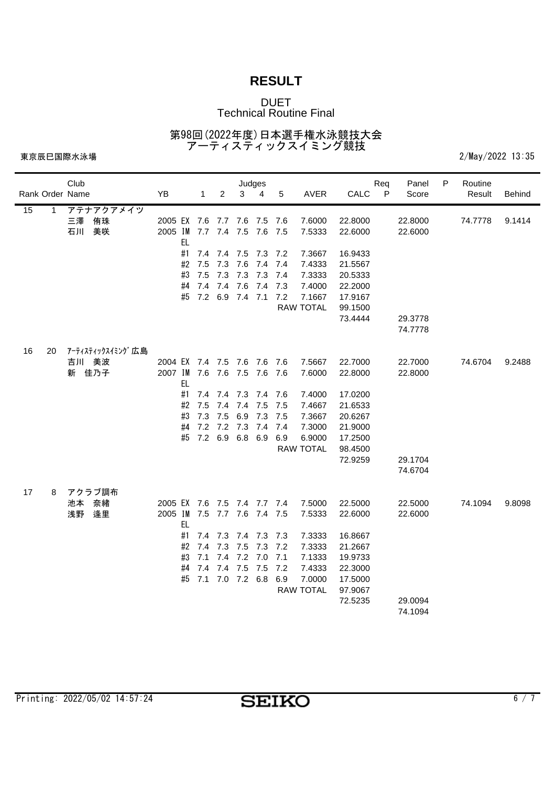### DUET Technical Routine Final

第98回(2022年度)日本選手権水泳競技大会 アーティスティックスイミング競技

|                 | Club             |                             |              |                     |                 | Judges  |     |                  |         | Req          | Panel   | P | Routine |        |
|-----------------|------------------|-----------------------------|--------------|---------------------|-----------------|---------|-----|------------------|---------|--------------|---------|---|---------|--------|
| Rank Order Name |                  | YB                          | $\mathbf{1}$ | $\overline{2}$      | 3               | 4       | 5   | AVER             | CALC    | $\mathsf{P}$ | Score   |   | Result  | Behind |
| 15<br>1         | アテナアクアメイツ        |                             |              |                     |                 |         |     |                  |         |              |         |   |         |        |
|                 | 侑珠<br>三澤         | 2005 EX 7.6                 |              | 7.7                 | 7.6             | 7.5     | 7.6 | 7.6000           | 22.8000 |              | 22.8000 |   | 74.7778 | 9.1414 |
|                 | 石川<br>美咲         | 2005 IM 7.7 7.4 7.5         |              |                     |                 | 7.6 7.5 |     | 7.5333           | 22.6000 |              | 22.6000 |   |         |        |
|                 |                  | EL                          |              |                     |                 |         |     |                  |         |              |         |   |         |        |
|                 |                  | #1                          | 7.4          | 7.4 7.5             |                 | 7.3 7.2 |     | 7.3667           | 16.9433 |              |         |   |         |        |
|                 |                  | #2                          | 7.5          | 7.3                 | 7.6             | 7.4 7.4 |     | 7.4333           | 21.5567 |              |         |   |         |        |
|                 |                  | #3                          | 7.5          | 7.3                 | 7.3             | 7.3     | 7.4 | 7.3333           | 20.5333 |              |         |   |         |        |
|                 |                  | #4                          | 7.4          | 7.4                 | 7.6             | 7.4     | 7.3 | 7.4000           | 22.2000 |              |         |   |         |        |
|                 |                  | #5                          |              | 7.2 6.9 7.4 7.1 7.2 |                 |         |     | 7.1667           | 17.9167 |              |         |   |         |        |
|                 |                  |                             |              |                     |                 |         |     | <b>RAW TOTAL</b> | 99.1500 |              |         |   |         |        |
|                 |                  |                             |              |                     |                 |         |     |                  | 73.4444 |              | 29.3778 |   |         |        |
|                 |                  |                             |              |                     |                 |         |     |                  |         |              | 74.7778 |   |         |        |
| 16<br>20        | アーティスティックスイミング広島 |                             |              |                     |                 |         |     |                  |         |              |         |   |         |        |
|                 | 吉川 美波            | 2004 EX 7.4 7.5 7.6 7.6 7.6 |              |                     |                 |         |     | 7.5667           | 22.7000 |              | 22.7000 |   | 74.6704 | 9.2488 |
|                 | 新 佳乃子            | 2007 IM 7.6 7.6 7.5 7.6 7.6 |              |                     |                 |         |     | 7.6000           | 22.8000 |              | 22.8000 |   |         |        |
|                 |                  | EL                          |              |                     |                 |         |     |                  |         |              |         |   |         |        |
|                 |                  | #1                          | 7.4          | 7.4                 | 7.3             | 7.4 7.6 |     | 7.4000           | 17.0200 |              |         |   |         |        |
|                 |                  | #2                          | 7.5          | 7.4                 | 7.4             | 7.5     | 7.5 | 7.4667           | 21.6533 |              |         |   |         |        |
|                 |                  | #3                          | 7.3          | 7.5                 | 6.9             | 7.3     | 7.5 | 7.3667           | 20.6267 |              |         |   |         |        |
|                 |                  | #4                          |              | 7.2 7.2 7.3 7.4     |                 |         | 7.4 | 7.3000           | 21.9000 |              |         |   |         |        |
|                 |                  | #5                          | 7.2          | 6.9                 | 6.8             | 6.9     | 6.9 | 6.9000           | 17.2500 |              |         |   |         |        |
|                 |                  |                             |              |                     |                 |         |     | <b>RAW TOTAL</b> | 98.4500 |              |         |   |         |        |
|                 |                  |                             |              |                     |                 |         |     |                  | 72.9259 |              | 29.1704 |   |         |        |
|                 |                  |                             |              |                     |                 |         |     |                  |         |              | 74.6704 |   |         |        |
|                 |                  |                             |              |                     |                 |         |     |                  |         |              |         |   |         |        |
| 17<br>8         | アクラブ調布           |                             |              |                     |                 |         |     |                  |         |              |         |   |         |        |
|                 | 奈緒<br>池本         | 2005 EX 7.6 7.5 7.4 7.7 7.4 |              |                     |                 |         |     | 7.5000           | 22.5000 |              | 22.5000 |   | 74.1094 | 9.8098 |
|                 | 浅野<br>逢里         | 2005 IM 7.5 7.7 7.6 7.4 7.5 |              |                     |                 |         |     | 7.5333           | 22.6000 |              | 22.6000 |   |         |        |
|                 |                  | <b>EL</b>                   |              |                     |                 |         |     |                  |         |              |         |   |         |        |
|                 |                  | #1                          | 7.4          |                     | 7.3 7.4 7.3 7.3 |         |     | 7.3333           | 16.8667 |              |         |   |         |        |
|                 |                  | #2                          | 7.4          | 7.3                 | 7.5             | 7.3     | 7.2 | 7.3333           | 21.2667 |              |         |   |         |        |
|                 |                  | #3                          | 7.1          | 7.4                 | 7.2 7.0         |         | 7.1 | 7.1333           | 19.9733 |              |         |   |         |        |
|                 |                  | #4                          | 7.4          | 7.4                 | 7.5             | 7.5     | 7.2 | 7.4333           | 22.3000 |              |         |   |         |        |
|                 |                  | #5                          | 7.1          |                     | 7.0 7.2 6.8     |         | 6.9 | 7.0000           | 17.5000 |              |         |   |         |        |
|                 |                  |                             |              |                     |                 |         |     | <b>RAW TOTAL</b> | 97.9067 |              |         |   |         |        |
|                 |                  |                             |              |                     |                 |         |     |                  | 72.5235 |              | 29.0094 |   |         |        |
|                 |                  |                             |              |                     |                 |         |     |                  |         |              | 74.1094 |   |         |        |